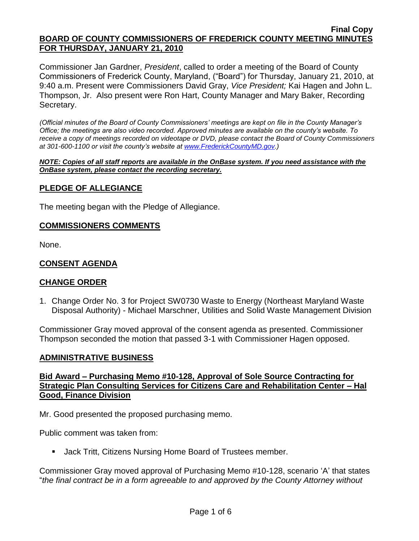Commissioner Jan Gardner, *President*, called to order a meeting of the Board of County Commissioners of Frederick County, Maryland, ("Board") for Thursday, January 21, 2010, at 9:40 a.m. Present were Commissioners David Gray, *Vice President;* Kai Hagen and John L. Thompson, Jr. Also present were Ron Hart, County Manager and Mary Baker, Recording Secretary.

*(Official minutes of the Board of County Commissioners' meetings are kept on file in the County Manager's Office; the meetings are also video recorded. Approved minutes are available on the county's website. To receive a copy of meetings recorded on videotape or DVD, please contact the Board of County Commissioners at 301-600-1100 or visit the county's website at [www.FrederickCountyMD.gov.](http://www.frederickcountymd.gov/))*

*NOTE: Copies of all staff reports are available in the OnBase system. If you need assistance with the OnBase system, please contact the recording secretary.*

### **PLEDGE OF ALLEGIANCE**

The meeting began with the Pledge of Allegiance.

### **COMMISSIONERS COMMENTS**

None.

### **CONSENT AGENDA**

#### **CHANGE ORDER**

1. Change Order No. 3 for Project SW0730 Waste to Energy (Northeast Maryland Waste Disposal Authority) - Michael Marschner, Utilities and Solid Waste Management Division

Commissioner Gray moved approval of the consent agenda as presented. Commissioner Thompson seconded the motion that passed 3-1 with Commissioner Hagen opposed.

#### **ADMINISTRATIVE BUSINESS**

# **Bid Award – Purchasing Memo #10-128, Approval of Sole Source Contracting for Strategic Plan Consulting Services for Citizens Care and Rehabilitation Center – Hal Good, Finance Division**

Mr. Good presented the proposed purchasing memo.

Public comment was taken from:

Jack Tritt, Citizens Nursing Home Board of Trustees member.

Commissioner Gray moved approval of Purchasing Memo #10-128, scenario "A" that states "*the final contract be in a form agreeable to and approved by the County Attorney without*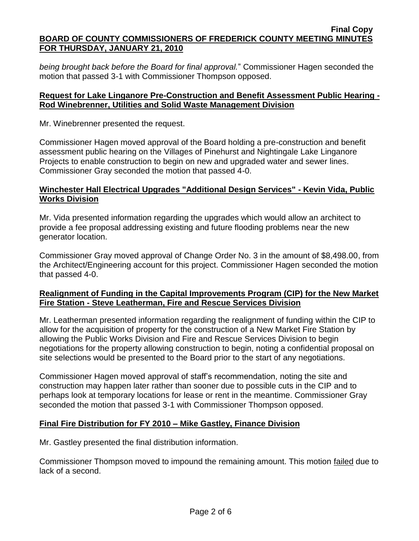*being brought back before the Board for final approval.*" Commissioner Hagen seconded the motion that passed 3-1 with Commissioner Thompson opposed.

# **Request for Lake Linganore Pre-Construction and Benefit Assessment Public Hearing - Rod Winebrenner, Utilities and Solid Waste Management Division**

Mr. Winebrenner presented the request.

Commissioner Hagen moved approval of the Board holding a pre-construction and benefit assessment public hearing on the Villages of Pinehurst and Nightingale Lake Linganore Projects to enable construction to begin on new and upgraded water and sewer lines. Commissioner Gray seconded the motion that passed 4-0.

# **Winchester Hall Electrical Upgrades "Additional Design Services" - Kevin Vida, Public Works Division**

Mr. Vida presented information regarding the upgrades which would allow an architect to provide a fee proposal addressing existing and future flooding problems near the new generator location.

Commissioner Gray moved approval of Change Order No. 3 in the amount of \$8,498.00, from the Architect/Engineering account for this project. Commissioner Hagen seconded the motion that passed 4-0.

# **Realignment of Funding in the Capital Improvements Program (CIP) for the New Market Fire Station - Steve Leatherman, Fire and Rescue Services Division**

Mr. Leatherman presented information regarding the realignment of funding within the CIP to allow for the acquisition of property for the construction of a New Market Fire Station by allowing the Public Works Division and Fire and Rescue Services Division to begin negotiations for the property allowing construction to begin, noting a confidential proposal on site selections would be presented to the Board prior to the start of any negotiations.

Commissioner Hagen moved approval of staff"s recommendation, noting the site and construction may happen later rather than sooner due to possible cuts in the CIP and to perhaps look at temporary locations for lease or rent in the meantime. Commissioner Gray seconded the motion that passed 3-1 with Commissioner Thompson opposed.

# **Final Fire Distribution for FY 2010 – Mike Gastley, Finance Division**

Mr. Gastley presented the final distribution information.

Commissioner Thompson moved to impound the remaining amount. This motion failed due to lack of a second.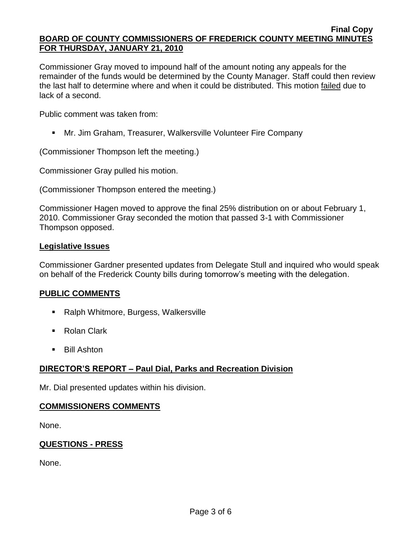Commissioner Gray moved to impound half of the amount noting any appeals for the remainder of the funds would be determined by the County Manager. Staff could then review the last half to determine where and when it could be distributed. This motion failed due to lack of a second.

Public comment was taken from:

Mr. Jim Graham, Treasurer, Walkersville Volunteer Fire Company

(Commissioner Thompson left the meeting.)

Commissioner Gray pulled his motion.

(Commissioner Thompson entered the meeting.)

Commissioner Hagen moved to approve the final 25% distribution on or about February 1, 2010. Commissioner Gray seconded the motion that passed 3-1 with Commissioner Thompson opposed.

# **Legislative Issues**

Commissioner Gardner presented updates from Delegate Stull and inquired who would speak on behalf of the Frederick County bills during tomorrow"s meeting with the delegation.

# **PUBLIC COMMENTS**

- Ralph Whitmore, Burgess, Walkersville
- Rolan Clark
- **Bill Ashton**

# **DIRECTOR'S REPORT – Paul Dial, Parks and Recreation Division**

Mr. Dial presented updates within his division.

# **COMMISSIONERS COMMENTS**

None.

# **QUESTIONS - PRESS**

None.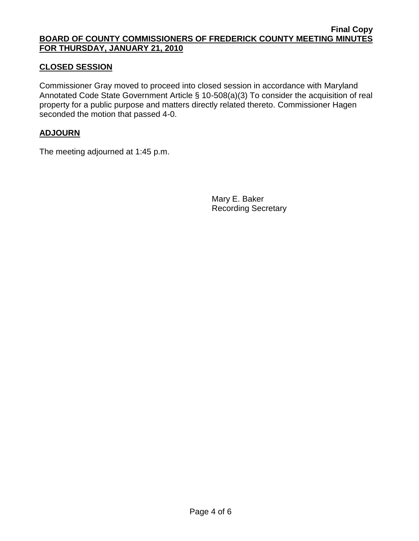# **CLOSED SESSION**

Commissioner Gray moved to proceed into closed session in accordance with Maryland Annotated Code State Government Article § 10-508(a)(3) To consider the acquisition of real property for a public purpose and matters directly related thereto. Commissioner Hagen seconded the motion that passed 4-0.

### **ADJOURN**

The meeting adjourned at 1:45 p.m.

Mary E. Baker Recording Secretary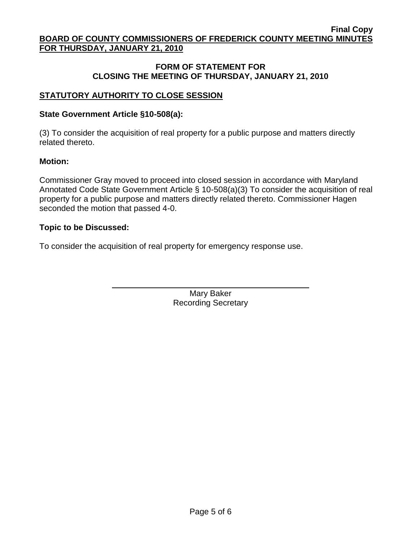# **FORM OF STATEMENT FOR CLOSING THE MEETING OF THURSDAY, JANUARY 21, 2010**

# **STATUTORY AUTHORITY TO CLOSE SESSION**

# **State Government Article §10-508(a):**

(3) To consider the acquisition of real property for a public purpose and matters directly related thereto.

# **Motion:**

Commissioner Gray moved to proceed into closed session in accordance with Maryland Annotated Code State Government Article § 10-508(a)(3) To consider the acquisition of real property for a public purpose and matters directly related thereto. Commissioner Hagen seconded the motion that passed 4-0.

# **Topic to be Discussed:**

To consider the acquisition of real property for emergency response use.

Mary Baker Recording Secretary